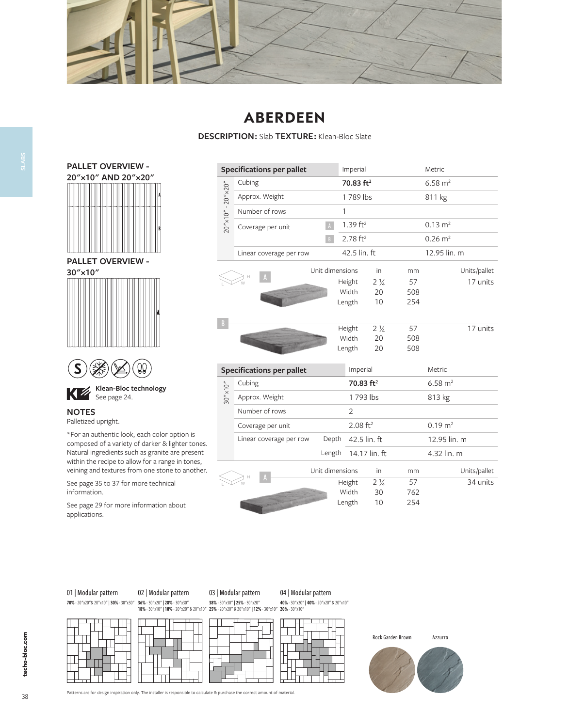

## **ABERDEEN**

**DESCRIPTION :** Slab **TEXTURE :** Klean-Bloc Slate





 $\sum_{i=1}^{\infty}$  See page 24.

#### WWW.TECHO-BLOC.COM **NOTES**

Palletized upright.

\*For an authentic look, each color option is composed of a variety of darker & lighter tones. Natural ingredients such as granite are present within the recipe to allow for a range in tones, veining and textures from one stone to another.

See page 35 to 37 for more technical information.

See page 29 for more information about applications.

|                                       | <b>Specifications per pallet</b> |                 | Imperial               |                |              | Metric             |              |
|---------------------------------------|----------------------------------|-----------------|------------------------|----------------|--------------|--------------------|--------------|
|                                       | Cubing                           |                 | 70.83 ft <sup>2</sup>  |                |              | $6.58 \text{ m}^2$ |              |
|                                       | Approx. Weight                   |                 | 1789 lbs               |                |              | 811 kg             |              |
|                                       | Number of rows                   |                 | 1                      |                |              |                    |              |
| $20'' \times 10'' - 20'' \times 20''$ | Coverage per unit                | $\,$ A $\,$     | 1.39 $ft^2$            |                |              | $0.13 \text{ m}^2$ |              |
|                                       |                                  | B               | $2.78$ ft <sup>2</sup> |                |              | $0.26 \text{ m}^2$ |              |
|                                       | Linear coverage per row          |                 |                        | 42.5 lin. ft   |              | 12.95 lin. m       |              |
|                                       |                                  | Unit dimensions |                        | in             | mm           |                    | Units/pallet |
|                                       |                                  |                 | Height                 | $2\frac{1}{4}$ | 57           |                    | 17 units     |
|                                       |                                  |                 | Width                  | 20             | 508          |                    |              |
|                                       |                                  |                 | Length                 | 10             | 254          |                    |              |
|                                       |                                  |                 | Height                 | $2\frac{1}{4}$ | 57           |                    | 17 units     |
|                                       |                                  |                 | Width                  | 20             | 508          |                    |              |
|                                       |                                  |                 | Length                 | 20             | 508          |                    |              |
|                                       | <b>Specifications per pallet</b> |                 | Imperial               |                |              | Metric             |              |
|                                       | Cubing                           |                 | 70.83 ft <sup>2</sup>  |                |              | $6.58 \text{ m}^2$ |              |
| $30'' \times 10''$                    | Approx. Weight                   |                 | 1793 lbs               |                |              | 813 kg             |              |
|                                       | Number of rows                   |                 | $\overline{2}$         |                |              |                    |              |
|                                       | Coverage per unit                |                 | $2.08$ ft <sup>2</sup> |                |              | $0.19 \text{ m}^2$ |              |
|                                       | Linear coverage per row<br>Depth |                 | 42.5 lin. ft           |                | 12.95 lin. m |                    |              |
|                                       |                                  | Length          | 14.17 lin. ft          |                |              | 4.32 lin. m        |              |
|                                       |                                  | Unit dimensions |                        | in             | mm           |                    | Units/pallet |
|                                       |                                  |                 | Height                 | $2\frac{1}{4}$ | 57           |                    | 34 units     |
|                                       |                                  |                 | Width                  | 30             | 762          |                    |              |

## 01 | Modular pattern

02 | Modular pattern



03 | Modular pattern





Length 10 254





38

**SLABS**